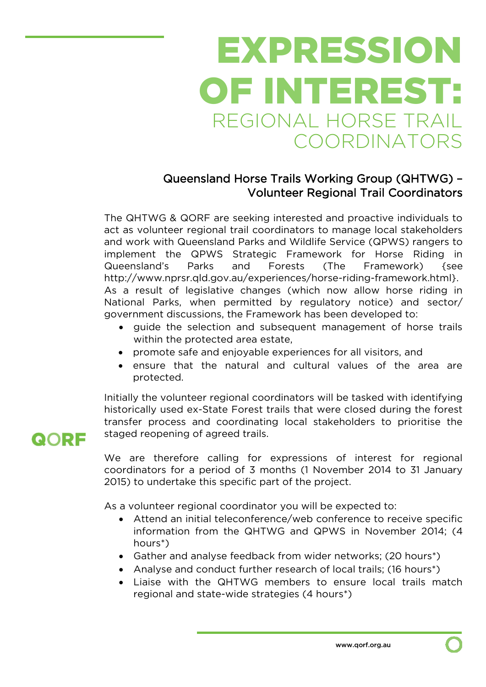# EXPRESSION OF INTEREST: REGIONAL HORSE TRAIL COORDINATORS

#### Queensland Horse Trails Working Group (QHTWG) – Volunteer Regional Trail Coordinators

The QHTWG & QORF are seeking interested and proactive individuals to act as volunteer regional trail coordinators to manage local stakeholders and work with Queensland Parks and Wildlife Service (QPWS) rangers to implement the QPWS Strategic Framework for Horse Riding in Queensland's Parks and Forests (The Framework) {see http://www.nprsr.qld.gov.au/experiences/horse-riding-framework.html}. As a result of legislative changes (which now allow horse riding in National Parks, when permitted by regulatory notice) and sector/ government discussions, the Framework has been developed to:

- o quide the selection and subsequent management of horse trails within the protected area estate,
- promote safe and enjoyable experiences for all visitors, and
- ensure that the natural and cultural values of the area are protected.

Initially the volunteer regional coordinators will be tasked with identifying historically used ex-State Forest trails that were closed during the forest transfer process and coordinating local stakeholders to prioritise the staged reopening of agreed trails.

We are therefore calling for expressions of interest for regional coordinators for a period of 3 months (1 November 2014 to 31 January 2015) to undertake this specific part of the project.

As a volunteer regional coordinator you will be expected to:

- Attend an initial teleconference/web conference to receive specific information from the QHTWG and QPWS in November 2014; (4 hours\*)
- Gather and analyse feedback from wider networks; (20 hours\*)
- Analyse and conduct further research of local trails; (16 hours<sup>\*</sup>)
- Liaise with the QHTWG members to ensure local trails match regional and state-wide strategies (4 hours\*)

### QORF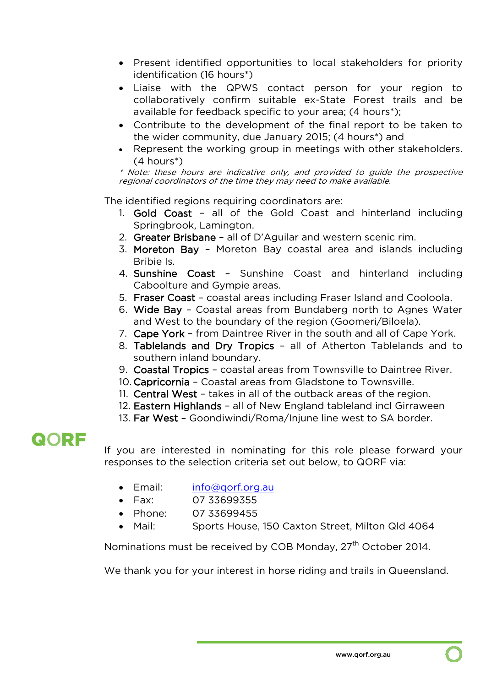- Present identified opportunities to local stakeholders for priority identification (16 hours\*)
- Liaise with the QPWS contact person for your region to collaboratively confirm suitable ex-State Forest trails and be available for feedback specific to your area; (4 hours\*);
- Contribute to the development of the final report to be taken to the wider community, due January 2015; (4 hours\*) and
- Represent the working group in meetings with other stakeholders. (4 hours\*)

\* Note: these hours are indicative only, and provided to guide the prospective regional coordinators of the time they may need to make available.

The identified regions requiring coordinators are:

- 1. Gold Coast all of the Gold Coast and hinterland including Springbrook, Lamington.
- 2. Greater Brisbane all of D'Aguilar and western scenic rim.
- 3. Moreton Bay Moreton Bay coastal area and islands including Bribie Is.
- 4. Sunshine Coast Sunshine Coast and hinterland including Caboolture and Gympie areas.
- 5. Fraser Coast coastal areas including Fraser Island and Cooloola.
- 6. Wide Bay Coastal areas from Bundaberg north to Agnes Water and West to the boundary of the region (Goomeri/Biloela).
- 7. Cape York from Daintree River in the south and all of Cape York.
- 8. Tablelands and Dry Tropics all of Atherton Tablelands and to southern inland boundary.
- 9. Coastal Tropics coastal areas from Townsville to Daintree River.
- 10. Capricornia Coastal areas from Gladstone to Townsville.
- 11. Central West takes in all of the outback areas of the region.
- 12. Eastern Highlands all of New England tableland incl Girraween
- 13. Far West Goondiwindi/Roma/Injune line west to SA border.

## QORF

If you are interested in nominating for this role please forward your responses to the selection criteria set out below, to QORF via:

- Email: info@gorf.org.au
- Fax: 07 33699355
- Phone: 07 33699455
- Mail: Sports House, 150 Caxton Street, Milton Qld 4064

Nominations must be received by COB Monday, 27<sup>th</sup> October 2014.

We thank you for your interest in horse riding and trails in Queensland.